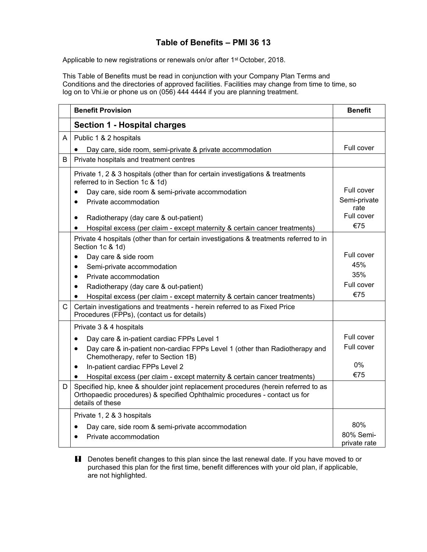## **Table of Benefits – PMI 36 13**

Applicable to new registrations or renewals on/or after 1<sup>st</sup> October, 2018.

This Table of Benefits must be read in conjunction with your Company Plan Terms and Conditions and the directories of approved facilities. Facilities may change from time to time, so log on to Vhi.ie or phone us on (056) 444 4444 if you are planning treatment.

|              | <b>Benefit Provision</b>                                                                                                                                                                                    | <b>Benefit</b>             |
|--------------|-------------------------------------------------------------------------------------------------------------------------------------------------------------------------------------------------------------|----------------------------|
|              | <b>Section 1 - Hospital charges</b>                                                                                                                                                                         |                            |
| A            | Public 1 & 2 hospitals                                                                                                                                                                                      |                            |
|              | Day care, side room, semi-private & private accommodation                                                                                                                                                   | Full cover                 |
| B            | Private hospitals and treatment centres                                                                                                                                                                     |                            |
|              | Private 1, 2 & 3 hospitals (other than for certain investigations & treatments<br>referred to in Section 1c & 1d)<br>Day care, side room & semi-private accommodation<br>Private accommodation<br>$\bullet$ | Full cover<br>Semi-private |
|              | Radiotherapy (day care & out-patient)<br>$\bullet$<br>Hospital excess (per claim - except maternity & certain cancer treatments)<br>$\bullet$                                                               | rate<br>Full cover<br>€75  |
|              | Private 4 hospitals (other than for certain investigations & treatments referred to in<br>Section 1c & 1d)                                                                                                  |                            |
|              | Day care & side room<br>$\bullet$                                                                                                                                                                           | Full cover                 |
|              | Semi-private accommodation<br>$\bullet$                                                                                                                                                                     | 45%                        |
|              | Private accommodation<br>$\bullet$                                                                                                                                                                          | 35%                        |
|              | Radiotherapy (day care & out-patient)<br>$\bullet$                                                                                                                                                          | Full cover                 |
|              | Hospital excess (per claim - except maternity & certain cancer treatments)                                                                                                                                  | €75                        |
| $\mathsf{C}$ | Certain investigations and treatments - herein referred to as Fixed Price<br>Procedures (FPPs), (contact us for details)                                                                                    |                            |
|              | Private 3 & 4 hospitals                                                                                                                                                                                     |                            |
|              | Day care & in-patient cardiac FPPs Level 1<br>$\bullet$                                                                                                                                                     | Full cover                 |
|              | Day care & in-patient non-cardiac FPPs Level 1 (other than Radiotherapy and<br>$\bullet$<br>Chemotherapy, refer to Section 1B)                                                                              | Full cover                 |
|              | In-patient cardiac FPPs Level 2<br>٠                                                                                                                                                                        | 0%                         |
|              | Hospital excess (per claim - except maternity & certain cancer treatments)                                                                                                                                  | €75                        |
| D            | Specified hip, knee & shoulder joint replacement procedures (herein referred to as<br>Orthopaedic procedures) & specified Ophthalmic procedures - contact us for<br>details of these                        |                            |
|              | Private 1, 2 & 3 hospitals                                                                                                                                                                                  |                            |
|              | Day care, side room & semi-private accommodation                                                                                                                                                            | 80%                        |
|              | Private accommodation                                                                                                                                                                                       | 80% Semi-<br>private rate  |

**H** Denotes benefit changes to this plan since the last renewal date. If you have moved to or purchased this plan for the first time, benefit differences with your old plan, if applicable, are not highlighted.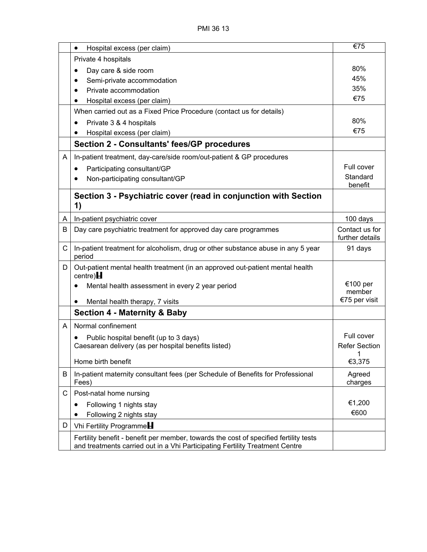|   | Hospital excess (per claim)<br>$\bullet$                                                                                                                              | €75                      |
|---|-----------------------------------------------------------------------------------------------------------------------------------------------------------------------|--------------------------|
|   | Private 4 hospitals                                                                                                                                                   |                          |
|   | Day care & side room                                                                                                                                                  | 80%                      |
|   | Semi-private accommodation                                                                                                                                            | 45%                      |
|   | Private accommodation                                                                                                                                                 | 35%                      |
|   | Hospital excess (per claim)                                                                                                                                           | €75                      |
|   | When carried out as a Fixed Price Procedure (contact us for details)                                                                                                  |                          |
|   | Private 3 & 4 hospitals<br>$\bullet$                                                                                                                                  | 80%                      |
|   | Hospital excess (per claim)                                                                                                                                           | €75                      |
|   | <b>Section 2 - Consultants' fees/GP procedures</b>                                                                                                                    |                          |
| A | In-patient treatment, day-care/side room/out-patient & GP procedures                                                                                                  |                          |
|   | Participating consultant/GP<br>$\bullet$                                                                                                                              | Full cover               |
|   | Non-participating consultant/GP                                                                                                                                       | Standard                 |
|   |                                                                                                                                                                       | benefit                  |
|   | Section 3 - Psychiatric cover (read in conjunction with Section<br>1)                                                                                                 |                          |
| A | In-patient psychiatric cover                                                                                                                                          | 100 days                 |
| B | Day care psychiatric treatment for approved day care programmes                                                                                                       | Contact us for           |
|   |                                                                                                                                                                       | further details          |
| C | In-patient treatment for alcoholism, drug or other substance abuse in any 5 year<br>period                                                                            | 91 days                  |
| D | Out-patient mental health treatment (in an approved out-patient mental health<br>centre) $H$                                                                          |                          |
|   | Mental health assessment in every 2 year period                                                                                                                       | €100 per                 |
|   |                                                                                                                                                                       | member<br>€75 per visit  |
|   | Mental health therapy, 7 visits<br>$\bullet$                                                                                                                          |                          |
|   | <b>Section 4 - Maternity &amp; Baby</b>                                                                                                                               |                          |
| A | Normal confinement                                                                                                                                                    |                          |
|   | Public hospital benefit (up to 3 days)                                                                                                                                | Full cover               |
|   | Caesarean delivery (as per hospital benefits listed)                                                                                                                  | <b>Refer Section</b>     |
|   | Home birth benefit                                                                                                                                                    | $\overline{1}$<br>€3,375 |
| В | In-patient maternity consultant fees (per Schedule of Benefits for Professional                                                                                       | Agreed                   |
|   | Fees)                                                                                                                                                                 | charges                  |
| С | Post-natal home nursing                                                                                                                                               |                          |
|   | Following 1 nights stay                                                                                                                                               | €1,200                   |
|   | Following 2 nights stay                                                                                                                                               | €600                     |
| D | Vhi Fertility Programme                                                                                                                                               |                          |
|   | Fertility benefit - benefit per member, towards the cost of specified fertility tests<br>and treatments carried out in a Vhi Participating Fertility Treatment Centre |                          |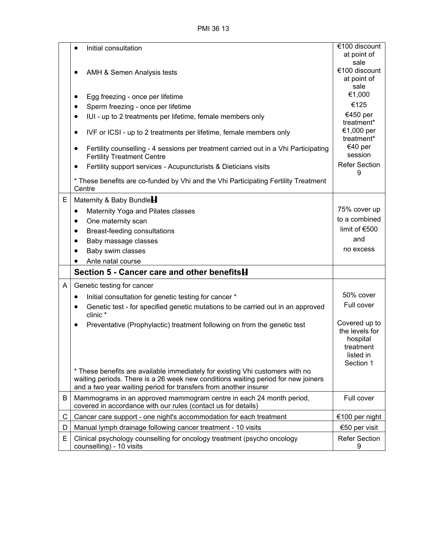PMI 36 13

|   | Initial consultation<br>$\bullet$                                                                                                                                                                                                      | €100 discount<br>at point of                                                       |
|---|----------------------------------------------------------------------------------------------------------------------------------------------------------------------------------------------------------------------------------------|------------------------------------------------------------------------------------|
|   | AMH & Semen Analysis tests                                                                                                                                                                                                             | sale<br>€100 discount<br>at point of<br>sale                                       |
|   | Egg freezing - once per lifetime<br>٠                                                                                                                                                                                                  | €1,000                                                                             |
|   | Sperm freezing - once per lifetime                                                                                                                                                                                                     | €125                                                                               |
|   | IUI - up to 2 treatments per lifetime, female members only<br>$\bullet$                                                                                                                                                                | €450 per<br>treatment*                                                             |
|   | IVF or ICSI - up to 2 treatments per lifetime, female members only<br>$\bullet$                                                                                                                                                        | €1,000 per<br>treatment*                                                           |
|   | Fertility counselling - 4 sessions per treatment carried out in a Vhi Participating<br>٠<br><b>Fertility Treatment Centre</b>                                                                                                          | €40 per<br>session                                                                 |
|   | Fertility support services - Acupuncturists & Dieticians visits<br>٠                                                                                                                                                                   | <b>Refer Section</b><br>9                                                          |
|   | * These benefits are co-funded by Vhi and the Vhi Participating Fertility Treatment<br>Centre                                                                                                                                          |                                                                                    |
| Е | Maternity & Baby Bundle                                                                                                                                                                                                                |                                                                                    |
|   | Maternity Yoga and Pilates classes<br>٠                                                                                                                                                                                                | 75% cover up                                                                       |
|   | One maternity scan<br>٠                                                                                                                                                                                                                | to a combined                                                                      |
|   | Breast-feeding consultations<br>$\bullet$                                                                                                                                                                                              | limit of $€500$                                                                    |
|   | Baby massage classes                                                                                                                                                                                                                   | and                                                                                |
|   | Baby swim classes                                                                                                                                                                                                                      | no excess                                                                          |
|   | Ante natal course                                                                                                                                                                                                                      |                                                                                    |
|   | Section 5 - Cancer care and other benefits H                                                                                                                                                                                           |                                                                                    |
| A | Genetic testing for cancer                                                                                                                                                                                                             |                                                                                    |
|   | Initial consultation for genetic testing for cancer *<br>٠                                                                                                                                                                             | 50% cover                                                                          |
|   | Genetic test - for specified genetic mutations to be carried out in an approved<br>٠<br>clinic *                                                                                                                                       | Full cover                                                                         |
|   | Preventative (Prophylactic) treatment following on from the genetic test                                                                                                                                                               | Covered up to<br>the levels for<br>hospital<br>treatment<br>listed in<br>Section 1 |
|   | * These benefits are available immediately for existing Vhi customers with no<br>waiting periods. There is a 26 week new conditions waiting period for new joiners<br>and a two year waiting period for transfers from another insurer |                                                                                    |
| B | Mammograms in an approved mammogram centre in each 24 month period,<br>covered in accordance with our rules (contact us for details)                                                                                                   | Full cover                                                                         |
| C | Cancer care support - one night's accommodation for each treatment                                                                                                                                                                     | €100 per night                                                                     |
| D | Manual lymph drainage following cancer treatment - 10 visits                                                                                                                                                                           | €50 per visit                                                                      |
| E | Clinical psychology counselling for oncology treatment (psycho oncology<br>counselling) - 10 visits                                                                                                                                    | <b>Refer Section</b><br>9                                                          |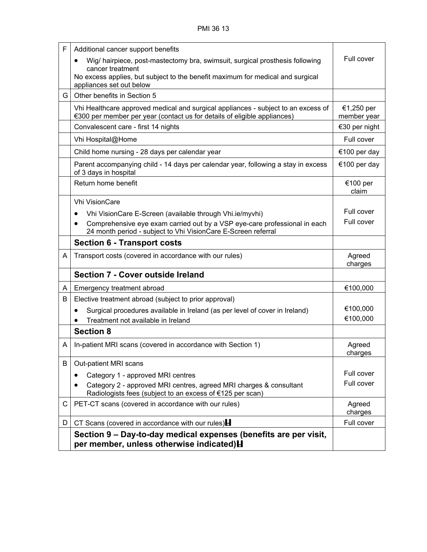| F  | Additional cancer support benefits                                                                                                                            |                           |
|----|---------------------------------------------------------------------------------------------------------------------------------------------------------------|---------------------------|
|    | Wig/ hairpiece, post-mastectomy bra, swimsuit, surgical prosthesis following                                                                                  | Full cover                |
|    | cancer treatment<br>No excess applies, but subject to the benefit maximum for medical and surgical<br>appliances set out below                                |                           |
| G. | Other benefits in Section 5                                                                                                                                   |                           |
|    | Vhi Healthcare approved medical and surgical appliances - subject to an excess of<br>€300 per member per year (contact us for details of eligible appliances) | €1,250 per<br>member year |
|    | Convalescent care - first 14 nights                                                                                                                           | €30 per night             |
|    | Vhi Hospital@Home                                                                                                                                             | Full cover                |
|    | Child home nursing - 28 days per calendar year                                                                                                                | €100 per day              |
|    | Parent accompanying child - 14 days per calendar year, following a stay in excess<br>of 3 days in hospital                                                    | €100 per day              |
|    | Return home benefit                                                                                                                                           | €100 per<br>claim         |
|    | <b>Vhi VisionCare</b>                                                                                                                                         |                           |
|    | Vhi VisionCare E-Screen (available through Vhi.ie/myvhi)<br>٠                                                                                                 | Full cover                |
|    | Comprehensive eye exam carried out by a VSP eye-care professional in each<br>24 month period - subject to Vhi VisionCare E-Screen referral                    | Full cover                |
|    | <b>Section 6 - Transport costs</b>                                                                                                                            |                           |
| A  | Transport costs (covered in accordance with our rules)                                                                                                        | Agreed<br>charges         |
|    | Section 7 - Cover outside Ireland                                                                                                                             |                           |
| A  | Emergency treatment abroad                                                                                                                                    | €100,000                  |
| B  | Elective treatment abroad (subject to prior approval)                                                                                                         |                           |
|    | Surgical procedures available in Ireland (as per level of cover in Ireland)<br>٠                                                                              | €100,000                  |
|    | Treatment not available in Ireland                                                                                                                            | €100,000                  |
|    | <b>Section 8</b>                                                                                                                                              |                           |
| A  | In-patient MRI scans (covered in accordance with Section 1)                                                                                                   | Agreed<br>charges         |
| B  | Out-patient MRI scans                                                                                                                                         |                           |
|    | Category 1 - approved MRI centres                                                                                                                             | Full cover                |
|    | Category 2 - approved MRI centres, agreed MRI charges & consultant<br>Radiologists fees (subject to an excess of €125 per scan)                               | Full cover                |
| C  | PET-CT scans (covered in accordance with our rules)                                                                                                           | Agreed<br>charges         |
| D  | CT Scans (covered in accordance with our rules) $\mathbf H$                                                                                                   | Full cover                |
|    | Section 9 – Day-to-day medical expenses (benefits are per visit,<br>per member, unless otherwise indicated) H                                                 |                           |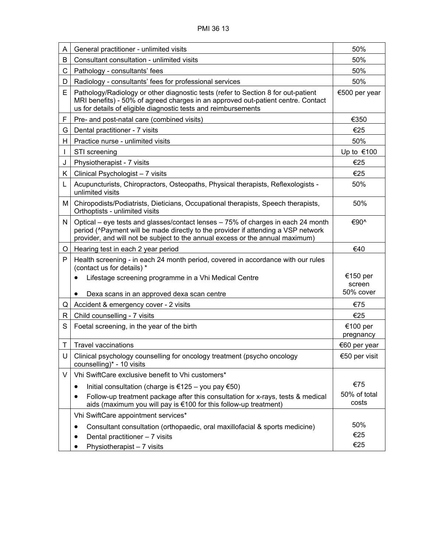| A  | General practitioner - unlimited visits                                                                                                                                                                                                                | 50%                             |
|----|--------------------------------------------------------------------------------------------------------------------------------------------------------------------------------------------------------------------------------------------------------|---------------------------------|
| B  | Consultant consultation - unlimited visits                                                                                                                                                                                                             | 50%                             |
| C  | Pathology - consultants' fees                                                                                                                                                                                                                          | 50%                             |
| D  | Radiology - consultants' fees for professional services                                                                                                                                                                                                | 50%                             |
| Е  | Pathology/Radiology or other diagnostic tests (refer to Section 8 for out-patient<br>MRI benefits) - 50% of agreed charges in an approved out-patient centre. Contact<br>us for details of eligible diagnostic tests and reimbursements                | €500 per year                   |
| F  | Pre- and post-natal care (combined visits)                                                                                                                                                                                                             | €350                            |
| G  | Dental practitioner - 7 visits                                                                                                                                                                                                                         | €25                             |
| H. | Practice nurse - unlimited visits                                                                                                                                                                                                                      | 50%                             |
|    | STI screening                                                                                                                                                                                                                                          | Up to €100                      |
| J  | Physiotherapist - 7 visits                                                                                                                                                                                                                             | €25                             |
| K. | Clinical Psychologist - 7 visits                                                                                                                                                                                                                       | €25                             |
| L  | Acupuncturists, Chiropractors, Osteopaths, Physical therapists, Reflexologists -<br>unlimited visits                                                                                                                                                   | 50%                             |
| М  | Chiropodists/Podiatrists, Dieticians, Occupational therapists, Speech therapists,<br>Orthoptists - unlimited visits                                                                                                                                    | 50%                             |
| N  | Optical – eye tests and glasses/contact lenses – 75% of charges in each 24 month<br>period (^Payment will be made directly to the provider if attending a VSP network<br>provider, and will not be subject to the annual excess or the annual maximum) | €90^                            |
| O  | Hearing test in each 2 year period                                                                                                                                                                                                                     | €40                             |
| P  | Health screening - in each 24 month period, covered in accordance with our rules<br>(contact us for details) *                                                                                                                                         |                                 |
|    | Lifestage screening programme in a Vhi Medical Centre                                                                                                                                                                                                  | €150 per<br>screen<br>50% cover |
|    | Dexa scans in an approved dexa scan centre                                                                                                                                                                                                             |                                 |
| Q  | Accident & emergency cover - 2 visits                                                                                                                                                                                                                  | €75                             |
| R. | Child counselling - 7 visits                                                                                                                                                                                                                           | €25                             |
| S  | Foetal screening, in the year of the birth                                                                                                                                                                                                             | €100 per<br>pregnancy           |
| Т  | <b>Travel vaccinations</b>                                                                                                                                                                                                                             | €60 per year                    |
| U  | Clinical psychology counselling for oncology treatment (psycho oncology<br>counselling)* - 10 visits                                                                                                                                                   | €50 per visit                   |
| V  | Vhi SwiftCare exclusive benefit to Vhi customers*                                                                                                                                                                                                      |                                 |
|    | Initial consultation (charge is €125 - you pay €50)<br>٠                                                                                                                                                                                               | €75                             |
|    | Follow-up treatment package after this consultation for x-rays, tests & medical<br>٠<br>aids (maximum you will pay is €100 for this follow-up treatment)                                                                                               | 50% of total<br>costs           |
|    | Vhi SwiftCare appointment services*                                                                                                                                                                                                                    |                                 |
|    | Consultant consultation (orthopaedic, oral maxillofacial & sports medicine)<br>Dental practitioner - 7 visits<br>Physiotherapist - 7 visits                                                                                                            | 50%<br>€25<br>€25               |